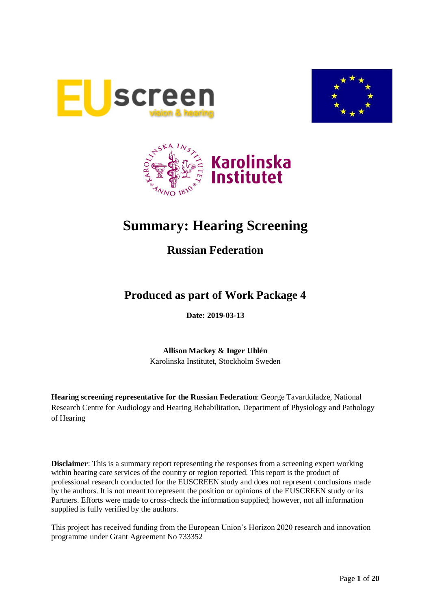





# **Summary: Hearing Screening**

# **Russian Federation**

# **Produced as part of Work Package 4**

**Date: 2019-03-13**

**Allison Mackey & Inger Uhlén** Karolinska Institutet, Stockholm Sweden

**Hearing screening representative for the Russian Federation**: George Tavartkiladze, National Research Centre for Audiology and Hearing Rehabilitation, Department of Physiology and Pathology of Hearing

**Disclaimer**: This is a summary report representing the responses from a screening expert working within hearing care services of the country or region reported. This report is the product of professional research conducted for the EUSCREEN study and does not represent conclusions made by the authors. It is not meant to represent the position or opinions of the EUSCREEN study or its Partners. Efforts were made to cross-check the information supplied; however, not all information supplied is fully verified by the authors.

This project has received funding from the European Union's Horizon 2020 research and innovation programme under Grant Agreement No 733352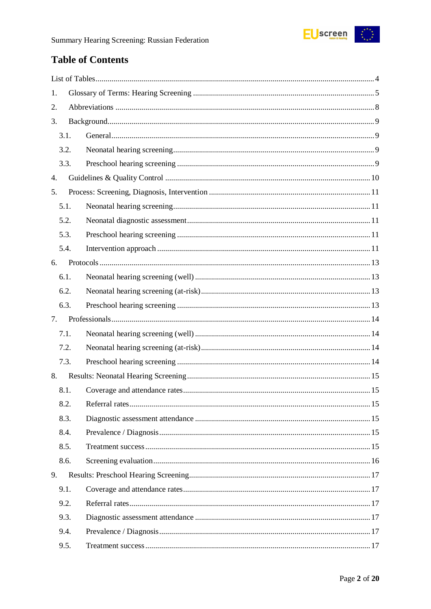

# **Table of Contents**

| 1. |      |  |
|----|------|--|
| 2. |      |  |
| 3. |      |  |
|    | 3.1. |  |
|    | 3.2. |  |
|    | 3.3. |  |
| 4. |      |  |
| 5. |      |  |
|    | 5.1. |  |
|    | 5.2. |  |
|    | 5.3. |  |
|    | 5.4. |  |
| 6. |      |  |
|    | 6.1. |  |
|    | 6.2. |  |
|    | 6.3. |  |
| 7. |      |  |
|    | 7.1. |  |
|    | 7.2. |  |
|    | 7.3. |  |
| 8. |      |  |
|    | 8.1. |  |
|    | 8.2. |  |
|    | 8.3. |  |
|    | 8.4. |  |
|    | 8.5. |  |
|    | 8.6. |  |
| 9. |      |  |
|    | 9.1. |  |
|    | 9.2. |  |
|    | 9.3. |  |
|    | 9.4. |  |
|    | 9.5. |  |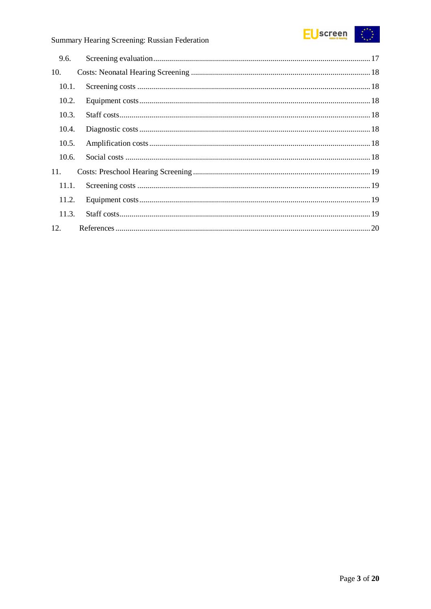

# Summary Hearing Screening: Russian Federation

| 9.6.  |  |
|-------|--|
| 10.   |  |
| 10.1. |  |
| 10.2. |  |
| 10.3. |  |
| 10.4. |  |
| 10.5. |  |
| 10.6. |  |
| 11.   |  |
| 11.1. |  |
| 11.2. |  |
| 11.3. |  |
| 12.   |  |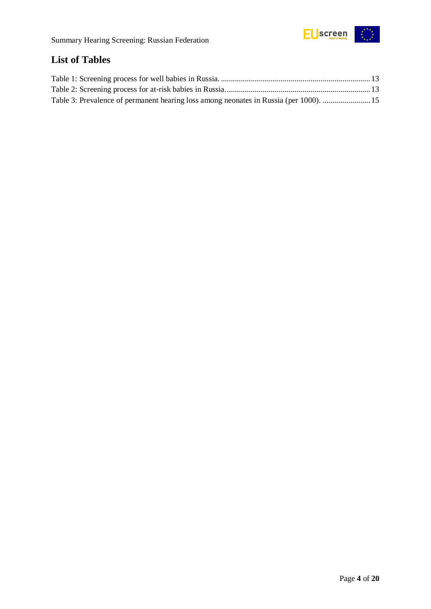

# <span id="page-3-0"></span>**List of Tables**

| Table 3: Prevalence of permanent hearing loss among neonates in Russia (per 1000).  15 |  |
|----------------------------------------------------------------------------------------|--|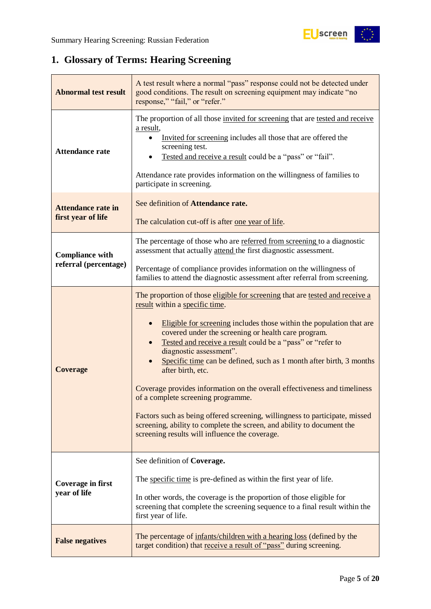

# <span id="page-4-0"></span>**1. Glossary of Terms: Hearing Screening**

| <b>Abnormal test result</b>                     | A test result where a normal "pass" response could not be detected under<br>good conditions. The result on screening equipment may indicate "no<br>response," "fail," or "refer."                                                                                                                                                                                                                                                                                                                                                                                                                                                                                                                                                                                |  |  |
|-------------------------------------------------|------------------------------------------------------------------------------------------------------------------------------------------------------------------------------------------------------------------------------------------------------------------------------------------------------------------------------------------------------------------------------------------------------------------------------------------------------------------------------------------------------------------------------------------------------------------------------------------------------------------------------------------------------------------------------------------------------------------------------------------------------------------|--|--|
| <b>Attendance rate</b>                          | The proportion of all those invited for screening that are tested and receive<br>a result,<br>Invited for screening includes all those that are offered the<br>screening test.<br>Tested and receive a result could be a "pass" or "fail".<br>Attendance rate provides information on the willingness of families to<br>participate in screening.                                                                                                                                                                                                                                                                                                                                                                                                                |  |  |
| <b>Attendance rate in</b><br>first year of life | See definition of Attendance rate.<br>The calculation cut-off is after one year of life.                                                                                                                                                                                                                                                                                                                                                                                                                                                                                                                                                                                                                                                                         |  |  |
| <b>Compliance with</b>                          | The percentage of those who are referred from screening to a diagnostic<br>assessment that actually attend the first diagnostic assessment.                                                                                                                                                                                                                                                                                                                                                                                                                                                                                                                                                                                                                      |  |  |
| referral (percentage)                           | Percentage of compliance provides information on the willingness of<br>families to attend the diagnostic assessment after referral from screening.                                                                                                                                                                                                                                                                                                                                                                                                                                                                                                                                                                                                               |  |  |
| <b>Coverage</b>                                 | The proportion of those eligible for screening that are tested and receive a<br>result within a specific time.<br>Eligible for screening includes those within the population that are<br>covered under the screening or health care program.<br>Tested and receive a result could be a "pass" or "refer to<br>diagnostic assessment".<br>Specific time can be defined, such as 1 month after birth, 3 months<br>after birth, etc.<br>Coverage provides information on the overall effectiveness and timeliness<br>of a complete screening programme.<br>Factors such as being offered screening, willingness to participate, missed<br>screening, ability to complete the screen, and ability to document the<br>screening results will influence the coverage. |  |  |
|                                                 | See definition of Coverage.                                                                                                                                                                                                                                                                                                                                                                                                                                                                                                                                                                                                                                                                                                                                      |  |  |
| <b>Coverage in first</b><br>year of life        | The specific time is pre-defined as within the first year of life.                                                                                                                                                                                                                                                                                                                                                                                                                                                                                                                                                                                                                                                                                               |  |  |
|                                                 | In other words, the coverage is the proportion of those eligible for<br>screening that complete the screening sequence to a final result within the<br>first year of life.                                                                                                                                                                                                                                                                                                                                                                                                                                                                                                                                                                                       |  |  |
| <b>False negatives</b>                          | The percentage of infants/children with a hearing loss (defined by the<br>target condition) that receive a result of "pass" during screening.                                                                                                                                                                                                                                                                                                                                                                                                                                                                                                                                                                                                                    |  |  |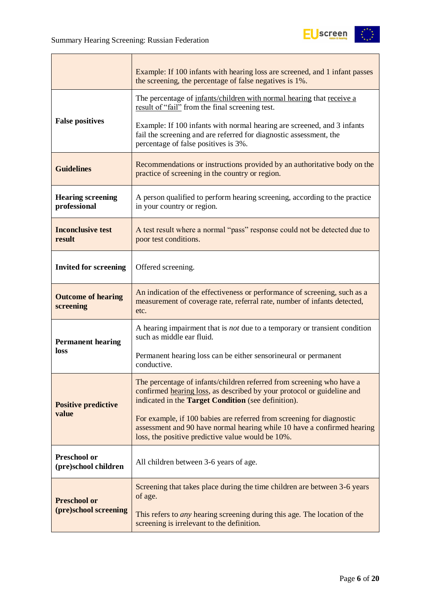

|                                             | Example: If 100 infants with hearing loss are screened, and 1 infant passes<br>the screening, the percentage of false negatives is 1%.                                                                                                                                                                            |  |  |
|---------------------------------------------|-------------------------------------------------------------------------------------------------------------------------------------------------------------------------------------------------------------------------------------------------------------------------------------------------------------------|--|--|
| <b>False positives</b>                      | The percentage of infants/children with normal hearing that receive a<br>result of "fail" from the final screening test.<br>Example: If 100 infants with normal hearing are screened, and 3 infants<br>fail the screening and are referred for diagnostic assessment, the<br>percentage of false positives is 3%. |  |  |
| <b>Guidelines</b>                           | Recommendations or instructions provided by an authoritative body on the<br>practice of screening in the country or region.                                                                                                                                                                                       |  |  |
| <b>Hearing screening</b><br>professional    | A person qualified to perform hearing screening, according to the practice<br>in your country or region.                                                                                                                                                                                                          |  |  |
| <b>Inconclusive test</b><br>result          | A test result where a normal "pass" response could not be detected due to<br>poor test conditions.                                                                                                                                                                                                                |  |  |
| <b>Invited for screening</b>                | Offered screening.                                                                                                                                                                                                                                                                                                |  |  |
| <b>Outcome of hearing</b><br>screening      | An indication of the effectiveness or performance of screening, such as a<br>measurement of coverage rate, referral rate, number of infants detected,<br>etc.                                                                                                                                                     |  |  |
| <b>Permanent hearing</b>                    | A hearing impairment that is <i>not</i> due to a temporary or transient condition<br>such as middle ear fluid.                                                                                                                                                                                                    |  |  |
| loss                                        | Permanent hearing loss can be either sensorineural or permanent<br>conductive.                                                                                                                                                                                                                                    |  |  |
| <b>Positive predictive</b>                  | The percentage of infants/children referred from screening who have a<br>confirmed hearing loss, as described by your protocol or guideline and<br>indicated in the Target Condition (see definition).                                                                                                            |  |  |
| value                                       | For example, if 100 babies are referred from screening for diagnostic<br>assessment and 90 have normal hearing while 10 have a confirmed hearing<br>loss, the positive predictive value would be 10%.                                                                                                             |  |  |
| <b>Preschool or</b><br>(pre)school children | All children between 3-6 years of age.                                                                                                                                                                                                                                                                            |  |  |
| <b>Preschool or</b>                         | Screening that takes place during the time children are between 3-6 years<br>of age.                                                                                                                                                                                                                              |  |  |
| (pre)school screening                       | This refers to <i>any</i> hearing screening during this age. The location of the<br>screening is irrelevant to the definition.                                                                                                                                                                                    |  |  |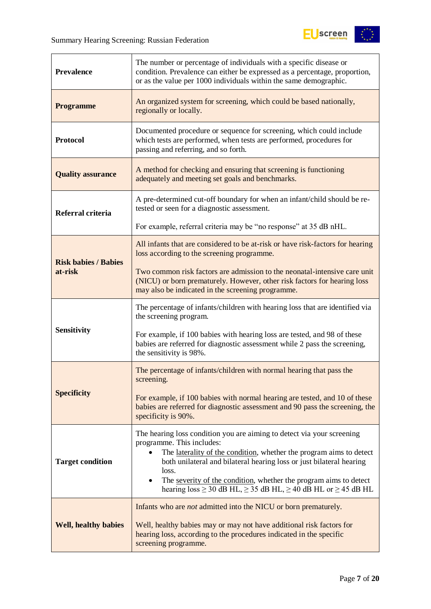

| <b>Prevalence</b>           | The number or percentage of individuals with a specific disease or<br>condition. Prevalence can either be expressed as a percentage, proportion,<br>or as the value per 1000 individuals within the same demographic.                            |  |  |  |
|-----------------------------|--------------------------------------------------------------------------------------------------------------------------------------------------------------------------------------------------------------------------------------------------|--|--|--|
| <b>Programme</b>            | An organized system for screening, which could be based nationally,<br>regionally or locally.                                                                                                                                                    |  |  |  |
| <b>Protocol</b>             | Documented procedure or sequence for screening, which could include<br>which tests are performed, when tests are performed, procedures for<br>passing and referring, and so forth.                                                               |  |  |  |
| <b>Quality assurance</b>    | A method for checking and ensuring that screening is functioning<br>adequately and meeting set goals and benchmarks.                                                                                                                             |  |  |  |
| Referral criteria           | A pre-determined cut-off boundary for when an infant/child should be re-<br>tested or seen for a diagnostic assessment.                                                                                                                          |  |  |  |
|                             | For example, referral criteria may be "no response" at 35 dB nHL.                                                                                                                                                                                |  |  |  |
| <b>Risk babies / Babies</b> | All infants that are considered to be at-risk or have risk-factors for hearing<br>loss according to the screening programme.                                                                                                                     |  |  |  |
| at-risk                     | Two common risk factors are admission to the neonatal-intensive care unit<br>(NICU) or born prematurely. However, other risk factors for hearing loss<br>may also be indicated in the screening programme.                                       |  |  |  |
|                             | The percentage of infants/children with hearing loss that are identified via<br>the screening program.                                                                                                                                           |  |  |  |
| <b>Sensitivity</b>          | For example, if 100 babies with hearing loss are tested, and 98 of these<br>babies are referred for diagnostic assessment while 2 pass the screening,<br>the sensitivity is 98%.                                                                 |  |  |  |
|                             | The percentage of infants/children with normal hearing that pass the<br>screening.                                                                                                                                                               |  |  |  |
| <b>Specificity</b>          | For example, if 100 babies with normal hearing are tested, and 10 of these<br>babies are referred for diagnostic assessment and 90 pass the screening, the<br>specificity is 90%.                                                                |  |  |  |
|                             | The hearing loss condition you are aiming to detect via your screening<br>programme. This includes:<br>The laterality of the condition, whether the program aims to detect                                                                       |  |  |  |
| <b>Target condition</b>     | both unilateral and bilateral hearing loss or just bilateral hearing<br>loss.<br>The severity of the condition, whether the program aims to detect<br>$\bullet$<br>hearing $loss \ge 30$ dB HL, $\ge 35$ dB HL, $\ge 40$ dB HL or $\ge 45$ dB HL |  |  |  |
|                             | Infants who are <i>not</i> admitted into the NICU or born prematurely.                                                                                                                                                                           |  |  |  |
| <b>Well, healthy babies</b> | Well, healthy babies may or may not have additional risk factors for<br>hearing loss, according to the procedures indicated in the specific<br>screening programme.                                                                              |  |  |  |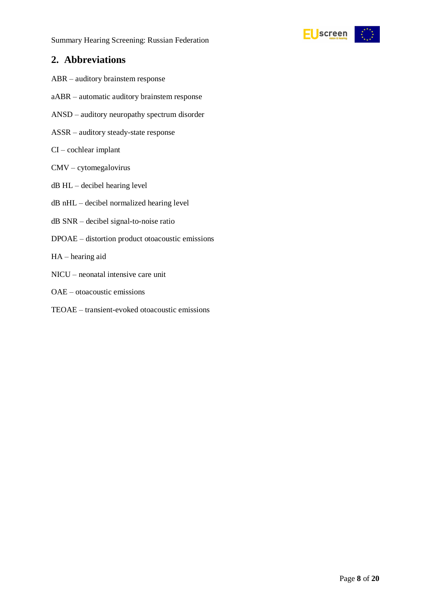

### <span id="page-7-0"></span>**2. Abbreviations**

- ABR auditory brainstem response
- aABR automatic auditory brainstem response
- ANSD auditory neuropathy spectrum disorder
- ASSR auditory steady-state response
- CI cochlear implant
- CMV cytomegalovirus
- dB HL decibel hearing level
- dB nHL decibel normalized hearing level
- dB SNR decibel signal-to-noise ratio
- DPOAE distortion product otoacoustic emissions
- HA hearing aid
- NICU neonatal intensive care unit
- OAE otoacoustic emissions
- TEOAE transient-evoked otoacoustic emissions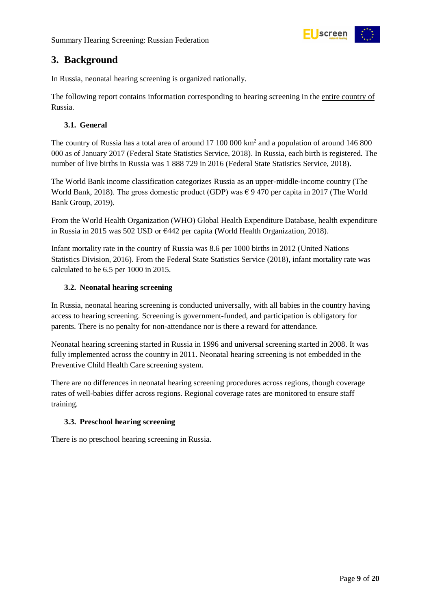

# <span id="page-8-0"></span>**3. Background**

In Russia, neonatal hearing screening is organized nationally.

The following report contains information corresponding to hearing screening in the entire country of Russia.

#### <span id="page-8-1"></span>**3.1. General**

The country of Russia has a total area of around 17 100 000 km<sup>2</sup> and a population of around 146 800 000 as of January 2017 (Federal State Statistics Service, 2018). In Russia, each birth is registered. The number of live births in Russia was 1 888 729 in 2016 (Federal State Statistics Service, 2018).

The World Bank income classification categorizes Russia as an upper-middle-income country (The World Bank, 2018). The gross domestic product (GDP) was  $\epsilon$  9 470 per capita in 2017 (The World Bank Group, 2019).

From the World Health Organization (WHO) Global Health Expenditure Database, health expenditure in Russia in 2015 was 502 USD or €442 per capita (World Health Organization, 2018).

Infant mortality rate in the country of Russia was 8.6 per 1000 births in 2012 (United Nations Statistics Division, 2016). From the Federal State Statistics Service (2018), infant mortality rate was calculated to be 6.5 per 1000 in 2015.

#### <span id="page-8-2"></span>**3.2. Neonatal hearing screening**

In Russia, neonatal hearing screening is conducted universally, with all babies in the country having access to hearing screening. Screening is government-funded, and participation is obligatory for parents. There is no penalty for non-attendance nor is there a reward for attendance.

Neonatal hearing screening started in Russia in 1996 and universal screening started in 2008. It was fully implemented across the country in 2011. Neonatal hearing screening is not embedded in the Preventive Child Health Care screening system.

There are no differences in neonatal hearing screening procedures across regions, though coverage rates of well-babies differ across regions. Regional coverage rates are monitored to ensure staff training.

#### <span id="page-8-3"></span>**3.3. Preschool hearing screening**

There is no preschool hearing screening in Russia.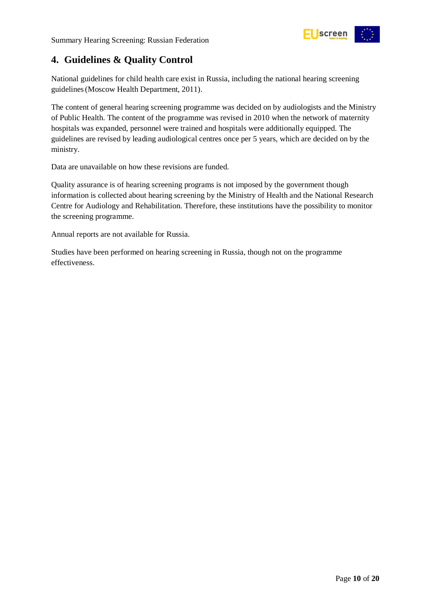

# <span id="page-9-0"></span>**4. Guidelines & Quality Control**

National guidelines for child health care exist in Russia, including the national hearing screening guidelines(Moscow Health Department, 2011).

The content of general hearing screening programme was decided on by audiologists and the Ministry of Public Health. The content of the programme was revised in 2010 when the network of maternity hospitals was expanded, personnel were trained and hospitals were additionally equipped. The guidelines are revised by leading audiological centres once per 5 years, which are decided on by the ministry.

Data are unavailable on how these revisions are funded.

Quality assurance is of hearing screening programs is not imposed by the government though information is collected about hearing screening by the Ministry of Health and the National Research Centre for Audiology and Rehabilitation. Therefore, these institutions have the possibility to monitor the screening programme.

Annual reports are not available for Russia.

Studies have been performed on hearing screening in Russia, though not on the programme effectiveness.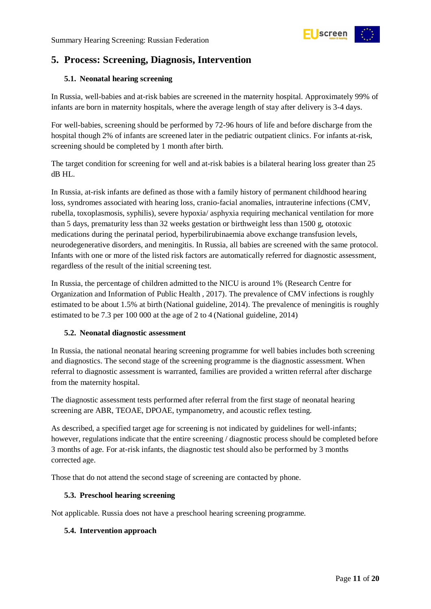

# <span id="page-10-0"></span>**5. Process: Screening, Diagnosis, Intervention**

#### <span id="page-10-1"></span>**5.1. Neonatal hearing screening**

In Russia, well-babies and at-risk babies are screened in the maternity hospital. Approximately 99% of infants are born in maternity hospitals, where the average length of stay after delivery is 3-4 days.

For well-babies, screening should be performed by 72-96 hours of life and before discharge from the hospital though 2% of infants are screened later in the pediatric outpatient clinics. For infants at-risk, screening should be completed by 1 month after birth.

The target condition for screening for well and at-risk babies is a bilateral hearing loss greater than 25 dB HL.

In Russia, at-risk infants are defined as those with a family history of permanent childhood hearing loss, syndromes associated with hearing loss, cranio-facial anomalies, intrauterine infections (CMV, rubella, toxoplasmosis, syphilis), severe hypoxia/ asphyxia requiring mechanical ventilation for more than 5 days, prematurity less than 32 weeks gestation or birthweight less than 1500 g, ototoxic medications during the perinatal period, hyperbilirubinaemia above exchange transfusion levels, neurodegenerative disorders, and meningitis. In Russia, all babies are screened with the same protocol. Infants with one or more of the listed risk factors are automatically referred for diagnostic assessment, regardless of the result of the initial screening test.

In Russia, the percentage of children admitted to the NICU is around 1% (Research Centre for Organization and Information of Public Health , 2017). The prevalence of CMV infections is roughly estimated to be about 1.5% at birth (National guideline, 2014). The prevalence of meningitis is roughly estimated to be 7.3 per 100 000 at the age of 2 to 4 (National guideline, 2014)

#### <span id="page-10-2"></span>**5.2. Neonatal diagnostic assessment**

In Russia, the national neonatal hearing screening programme for well babies includes both screening and diagnostics. The second stage of the screening programme is the diagnostic assessment. When referral to diagnostic assessment is warranted, families are provided a written referral after discharge from the maternity hospital.

The diagnostic assessment tests performed after referral from the first stage of neonatal hearing screening are ABR, TEOAE, DPOAE, tympanometry, and acoustic reflex testing.

As described, a specified target age for screening is not indicated by guidelines for well-infants; however, regulations indicate that the entire screening / diagnostic process should be completed before 3 months of age. For at-risk infants, the diagnostic test should also be performed by 3 months corrected age.

Those that do not attend the second stage of screening are contacted by phone.

#### <span id="page-10-3"></span>**5.3. Preschool hearing screening**

Not applicable. Russia does not have a preschool hearing screening programme.

#### <span id="page-10-4"></span>**5.4. Intervention approach**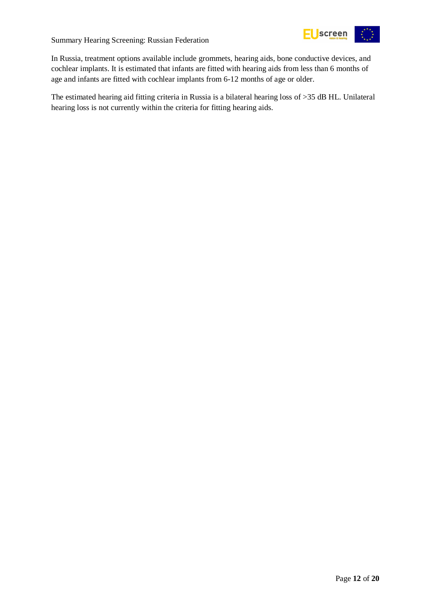



In Russia, treatment options available include grommets, hearing aids, bone conductive devices, and cochlear implants. It is estimated that infants are fitted with hearing aids from less than 6 months of age and infants are fitted with cochlear implants from 6-12 months of age or older.

The estimated hearing aid fitting criteria in Russia is a bilateral hearing loss of >35 dB HL. Unilateral hearing loss is not currently within the criteria for fitting hearing aids.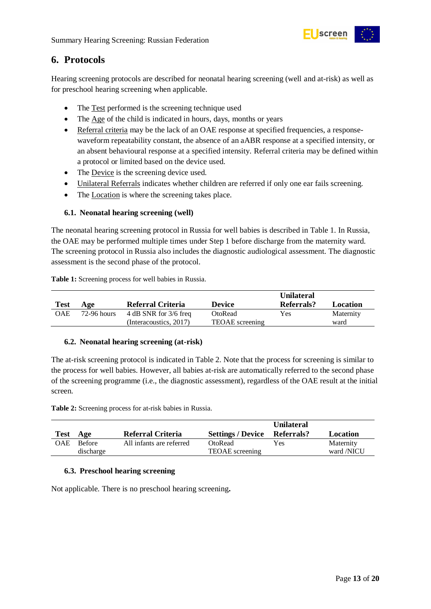

### <span id="page-12-0"></span>**6. Protocols**

Hearing screening protocols are described for neonatal hearing screening (well and at-risk) as well as for preschool hearing screening when applicable.

- The Test performed is the screening technique used
- The Age of the child is indicated in hours, days, months or years
- Referral criteria may be the lack of an OAE response at specified frequencies, a responsewaveform repeatability constant, the absence of an aABR response at a specified intensity, or an absent behavioural response at a specified intensity. Referral criteria may be defined within a protocol or limited based on the device used.
- The Device is the screening device used.
- Unilateral Referrals indicates whether children are referred if only one ear fails screening.
- The Location is where the screening takes place.

#### <span id="page-12-1"></span>**6.1. Neonatal hearing screening (well)**

The neonatal hearing screening protocol in Russia for well babies is described in Table 1. In Russia, the OAE may be performed multiple times under Step 1 before discharge from the maternity ward. The screening protocol in Russia also includes the diagnostic audiological assessment. The diagnostic assessment is the second phase of the protocol.

<span id="page-12-4"></span>**Table 1:** Screening process for well babies in Russia.

| <b>Test</b> | Age         | Referral Criteria       | <b>Device</b>          | <b>Unilateral</b><br>Referrals? | Location  |
|-------------|-------------|-------------------------|------------------------|---------------------------------|-----------|
| <b>OAE</b>  | 72-96 hours | 4 dB SNR for $3/6$ freq | OtoRead                | Yes                             | Maternity |
|             |             | (Interacoustics, 2017)  | <b>TEOAE</b> screening |                                 | ward      |

#### <span id="page-12-2"></span>**6.2. Neonatal hearing screening (at-risk)**

The at-risk screening protocol is indicated in Table 2. Note that the process for screening is similar to the process for well babies. However, all babies at-risk are automatically referred to the second phase of the screening programme (i.e., the diagnostic assessment), regardless of the OAE result at the initial screen.

<span id="page-12-5"></span>**Table 2:** Screening process for at-risk babies in Russia.

| Test | Age                        | Referral Criteria        | Settings / Device Referrals?      | <b>Unilateral</b> | Location                |
|------|----------------------------|--------------------------|-----------------------------------|-------------------|-------------------------|
| OAE  | <b>Before</b><br>discharge | All infants are referred | OtoRead<br><b>TEOAE</b> screening | Yes               | Maternity<br>ward /NICU |

#### <span id="page-12-3"></span>**6.3. Preschool hearing screening**

Not applicable. There is no preschool hearing screening**.**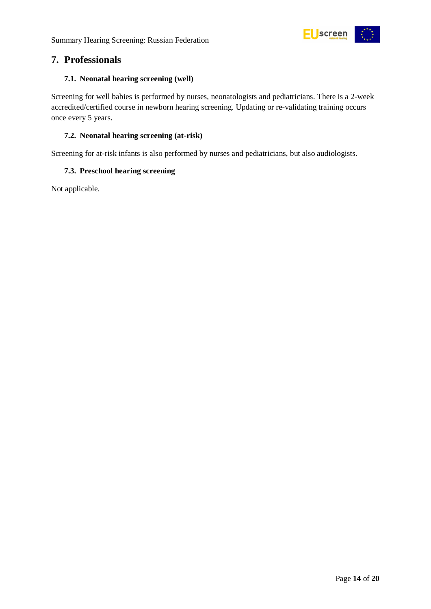

### <span id="page-13-0"></span>**7. Professionals**

#### <span id="page-13-1"></span>**7.1. Neonatal hearing screening (well)**

Screening for well babies is performed by nurses, neonatologists and pediatricians. There is a 2-week accredited/certified course in newborn hearing screening. Updating or re-validating training occurs once every 5 years.

#### <span id="page-13-2"></span>**7.2. Neonatal hearing screening (at-risk)**

Screening for at-risk infants is also performed by nurses and pediatricians, but also audiologists.

#### <span id="page-13-3"></span>**7.3. Preschool hearing screening**

Not applicable.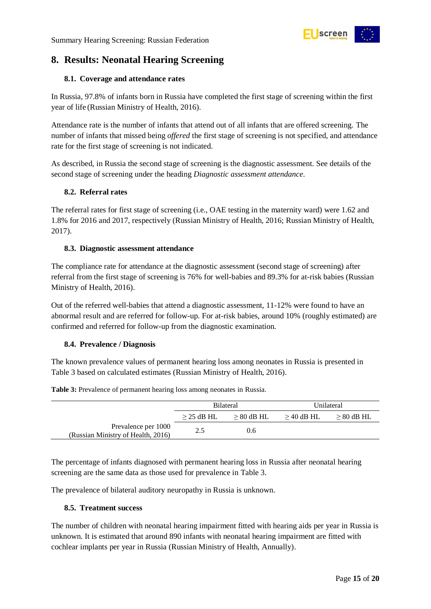

# <span id="page-14-0"></span>**8. Results: Neonatal Hearing Screening**

#### <span id="page-14-1"></span>**8.1. Coverage and attendance rates**

In Russia, 97.8% of infants born in Russia have completed the first stage of screening within the first year of life (Russian Ministry of Health, 2016).

Attendance rate is the number of infants that attend out of all infants that are offered screening. The number of infants that missed being *offered* the first stage of screening is not specified, and attendance rate for the first stage of screening is not indicated.

As described, in Russia the second stage of screening is the diagnostic assessment. See details of the second stage of screening under the heading *Diagnostic assessment attendance.*

#### <span id="page-14-2"></span>**8.2. Referral rates**

The referral rates for first stage of screening (i.e., OAE testing in the maternity ward) were 1.62 and 1.8% for 2016 and 2017, respectively (Russian Ministry of Health, 2016; Russian Ministry of Health, 2017).

#### <span id="page-14-3"></span>**8.3. Diagnostic assessment attendance**

The compliance rate for attendance at the diagnostic assessment (second stage of screening) after referral from the first stage of screening is 76% for well-babies and 89.3% for at-risk babies (Russian Ministry of Health, 2016).

Out of the referred well-babies that attend a diagnostic assessment, 11-12% were found to have an abnormal result and are referred for follow-up. For at-risk babies, around 10% (roughly estimated) are confirmed and referred for follow-up from the diagnostic examination.

#### <span id="page-14-4"></span>**8.4. Prevalence / Diagnosis**

The known prevalence values of permanent hearing loss among neonates in Russia is presented in [Table 3](#page-14-6) based on calculated estimates (Russian Ministry of Health, 2016).

|                                                           | <b>Bilateral</b> |              | Unilateral   |              |
|-----------------------------------------------------------|------------------|--------------|--------------|--------------|
|                                                           | $>$ 25 dB HL     | $> 80$ dB HL | $>$ 40 dB HL | $> 80$ dB HL |
| Prevalence per 1000<br>(Russian Ministry of Health, 2016) | 2.5              | 0.6          |              |              |

<span id="page-14-6"></span>**Table 3:** Prevalence of permanent hearing loss among neonates in Russia.

The percentage of infants diagnosed with permanent hearing loss in Russia after neonatal hearing screening are the same data as those used for prevalence in [Table 3.](#page-14-6)

The prevalence of bilateral auditory neuropathy in Russia is unknown.

#### <span id="page-14-5"></span>**8.5. Treatment success**

The number of children with neonatal hearing impairment fitted with hearing aids per year in Russia is unknown. It is estimated that around 890 infants with neonatal hearing impairment are fitted with cochlear implants per year in Russia (Russian Ministry of Health, Annually).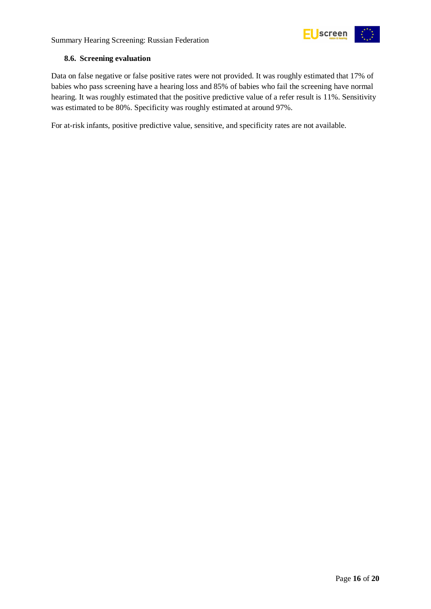

#### <span id="page-15-0"></span>**8.6. Screening evaluation**

Data on false negative or false positive rates were not provided. It was roughly estimated that 17% of babies who pass screening have a hearing loss and 85% of babies who fail the screening have normal hearing. It was roughly estimated that the positive predictive value of a refer result is 11%. Sensitivity was estimated to be 80%. Specificity was roughly estimated at around 97%.

For at-risk infants, positive predictive value, sensitive, and specificity rates are not available.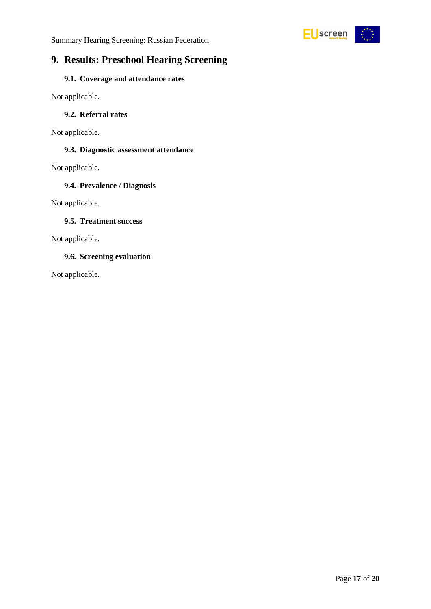



# <span id="page-16-0"></span>**9. Results: Preschool Hearing Screening**

#### <span id="page-16-1"></span>**9.1. Coverage and attendance rates**

Not applicable.

#### <span id="page-16-2"></span>**9.2. Referral rates**

Not applicable.

#### <span id="page-16-3"></span>**9.3. Diagnostic assessment attendance**

Not applicable.

#### <span id="page-16-4"></span>**9.4. Prevalence / Diagnosis**

Not applicable.

#### <span id="page-16-5"></span>**9.5. Treatment success**

Not applicable.

#### <span id="page-16-6"></span>**9.6. Screening evaluation**

Not applicable.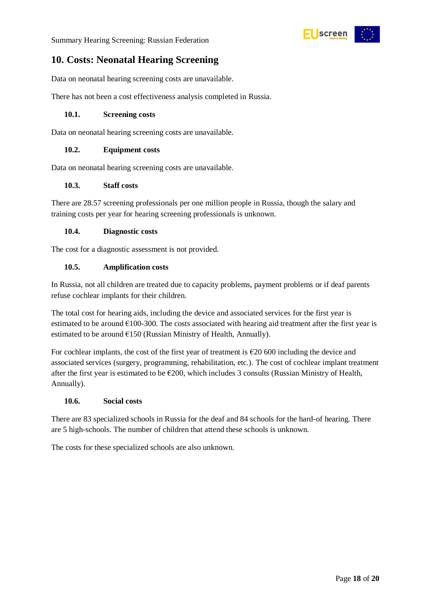Summary Hearing Screening: Russian Federation



# <span id="page-17-0"></span>**10. Costs: Neonatal Hearing Screening**

Data on neonatal hearing screening costs are unavailable.

There has not been a cost effectiveness analysis completed in Russia.

#### <span id="page-17-1"></span>**10.1. Screening costs**

Data on neonatal hearing screening costs are unavailable.

#### <span id="page-17-2"></span>**10.2. Equipment costs**

Data on neonatal hearing screening costs are unavailable.

#### <span id="page-17-3"></span>**10.3. Staff costs**

There are 28.57 screening professionals per one million people in Russia, though the salary and training costs per year for hearing screening professionals is unknown.

#### <span id="page-17-4"></span>**10.4. Diagnostic costs**

The cost for a diagnostic assessment is not provided.

#### <span id="page-17-5"></span>**10.5. Amplification costs**

In Russia, not all children are treated due to capacity problems, payment problems or if deaf parents refuse cochlear implants for their children.

The total cost for hearing aids, including the device and associated services for the first year is estimated to be around  $£100-300$ . The costs associated with hearing aid treatment after the first year is estimated to be around  $E$ 150 (Russian Ministry of Health, Annually).

For cochlear implants, the cost of the first year of treatment is  $\epsilon$ 20 600 including the device and associated services (surgery, programming, rehabilitation, etc.). The cost of cochlear implant treatment after the first year is estimated to be €200, which includes 3 consults (Russian Ministry of Health, Annually).

#### <span id="page-17-6"></span>**10.6. Social costs**

There are 83 specialized schools in Russia for the deaf and 84 schools for the hard-of hearing. There are 5 high-schools. The number of children that attend these schools is unknown.

The costs for these specialized schools are also unknown.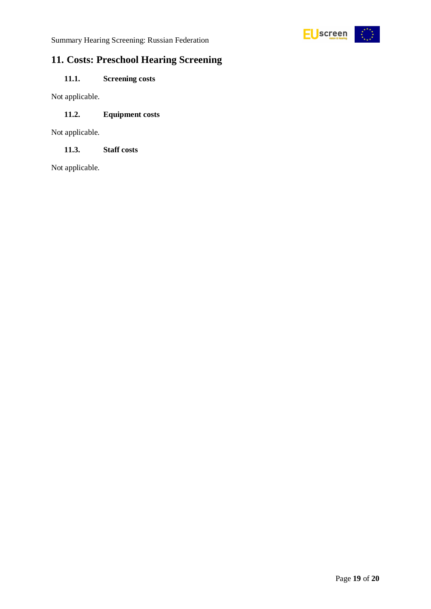

# <span id="page-18-0"></span>**11. Costs: Preschool Hearing Screening**

### <span id="page-18-1"></span>**11.1. Screening costs**

Not applicable.

#### <span id="page-18-2"></span>**11.2. Equipment costs**

Not applicable.

<span id="page-18-3"></span>**11.3. Staff costs**

Not applicable.